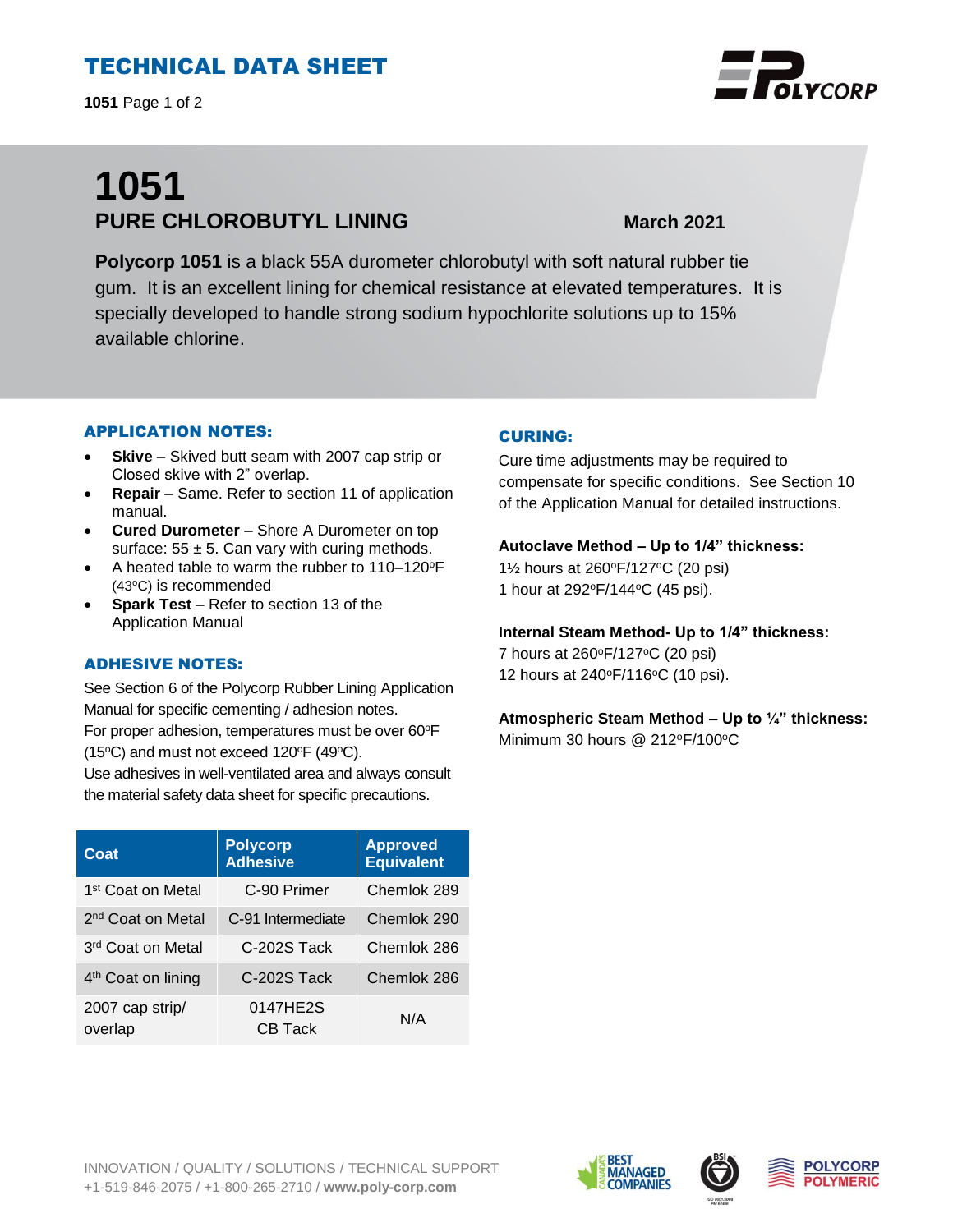# TECHNICAL DATA SHEET

**1051** Page 1 of 2

# **1051 PURE CHLOROBUTYL LINING March 2021**

**Polycorp 1051** is a black 55A durometer chlorobutyl with soft natural rubber tie gum. It is an excellent lining for chemical resistance at elevated temperatures. It is specially developed to handle strong sodium hypochlorite solutions up to 15% available chlorine.

### APPLICATION NOTES:

- **Skive** Skived butt seam with 2007 cap strip or Closed skive with 2" overlap.
- **Repair**  Same. Refer to section 11 of application manual.
- **Cured Durometer**  Shore A Durometer on top surface:  $55 \pm 5$ . Can vary with curing methods.
- A heated table to warm the rubber to 110–120°F (43°C) is recommended
- **Spark Test** Refer to section 13 of the Application Manual

#### ADHESIVE NOTES:

See Section 6 of the Polycorp Rubber Lining Application Manual for specific cementing / adhesion notes. For proper adhesion, temperatures must be over 60°F (15 $\textdegree$ C) and must not exceed 120 $\textdegree$ F (49 $\textdegree$ C).

Use adhesives in well-ventilated area and always consult the material safety data sheet for specific precautions.

| Coat                           | <b>Polycorp</b><br><b>Adhesive</b> | <b>Approved</b><br><b>Equivalent</b> |
|--------------------------------|------------------------------------|--------------------------------------|
| 1 <sup>st</sup> Coat on Metal  | C-90 Primer                        | Chemlok 289                          |
| 2 <sup>nd</sup> Coat on Metal  | C-91 Intermediate                  | Chemlok 290                          |
| 3 <sup>rd</sup> Coat on Metal  | C-202S Tack                        | Chemlok 286                          |
| 4 <sup>th</sup> Coat on lining | C-202S Tack                        | Chemlok 286                          |
| 2007 cap strip/<br>overlap     | 0147HE2S<br>CB Tack                | N/A                                  |

### CURING:

Cure time adjustments may be required to compensate for specific conditions. See Section 10 of the Application Manual for detailed instructions.

#### **Autoclave Method – Up to 1/4" thickness:**

1½ hours at 260<sup>o</sup>F/127<sup>o</sup>C (20 psi) 1 hour at 292°F/144°C (45 psi).

#### **Internal Steam Method- Up to 1/4" thickness:**

7 hours at 260°F/127°C (20 psi) 12 hours at 240°F/116°C (10 psi).

# **Atmospheric Steam Method – Up to ¼" thickness:**

Minimum 30 hours @ 212<sup>o</sup>F/100<sup>o</sup>C